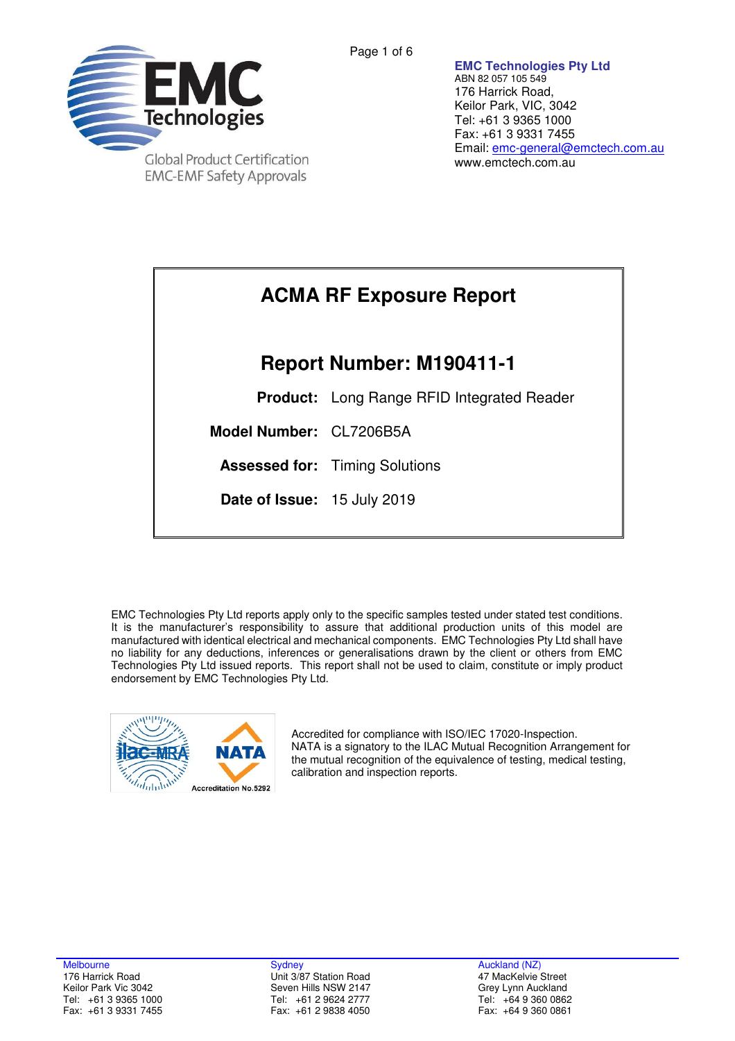

Page 1 of 6

**EMC Technologies Pty Ltd**  ABN 82 057 105 549 176 Harrick Road, Keilor Park, VIC, 3042 Tel: +61 3 9365 1000 Fax: +61 3 9331 7455 Email: emc-general@emctech.com.au www.emctech.com.au

# **ACMA RF Exposure Report Report Number: M190411-1 Product:** Long Range RFID Integrated Reader **Model Number:** CL7206B5A **Assessed for:** Timing Solutions **Date of Issue:** 15 July 2019

EMC Technologies Pty Ltd reports apply only to the specific samples tested under stated test conditions. It is the manufacturer's responsibility to assure that additional production units of this model are manufactured with identical electrical and mechanical components. EMC Technologies Pty Ltd shall have no liability for any deductions, inferences or generalisations drawn by the client or others from EMC Technologies Pty Ltd issued reports. This report shall not be used to claim, constitute or imply product endorsement by EMC Technologies Pty Ltd.



Accredited for compliance with ISO/IEC 17020-Inspection. NATA is a signatory to the ILAC Mutual Recognition Arrangement for the mutual recognition of the equivalence of testing, medical testing, calibration and inspection reports.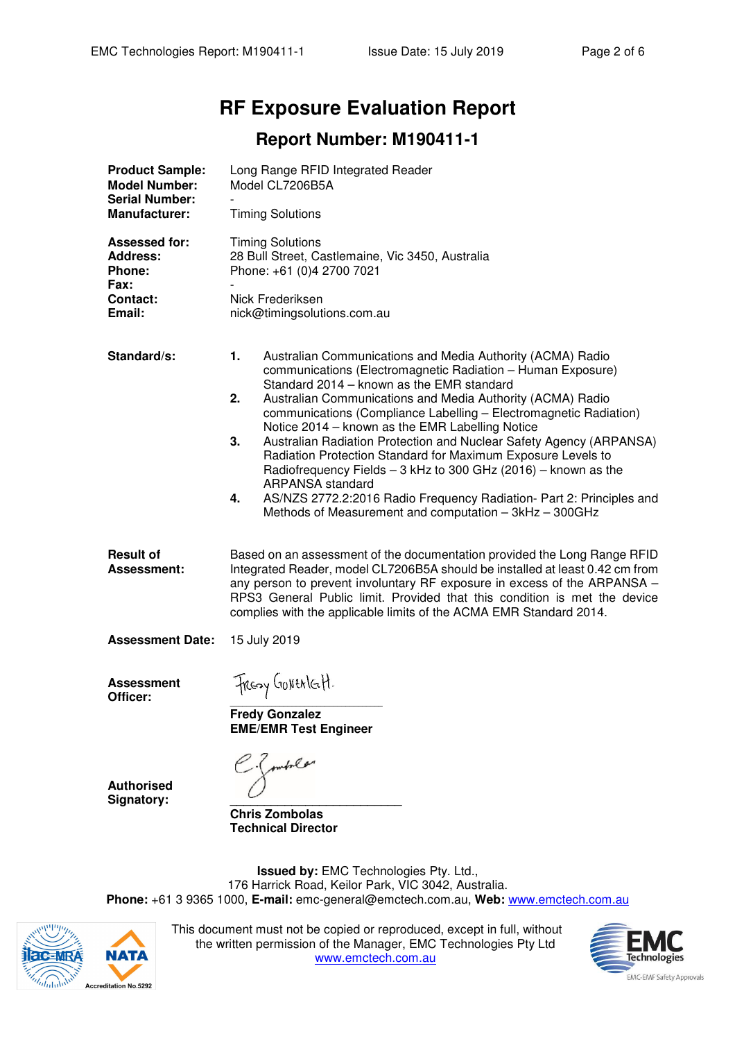# **RF Exposure Evaluation Report**

## **Report Number: M190411-1**

| <b>Product Sample:</b><br><b>Model Number:</b><br><b>Serial Number:</b> | Long Range RFID Integrated Reader<br>Model CL7206B5A                                                                                                                                                                                                                                                                                                                                                                                                  |  |  |  |  |  |  |  |
|-------------------------------------------------------------------------|-------------------------------------------------------------------------------------------------------------------------------------------------------------------------------------------------------------------------------------------------------------------------------------------------------------------------------------------------------------------------------------------------------------------------------------------------------|--|--|--|--|--|--|--|
| <b>Manufacturer:</b>                                                    | <b>Timing Solutions</b>                                                                                                                                                                                                                                                                                                                                                                                                                               |  |  |  |  |  |  |  |
| <b>Assessed for:</b><br><b>Address:</b><br><b>Phone:</b><br><b>Fax:</b> | <b>Timing Solutions</b><br>28 Bull Street, Castlemaine, Vic 3450, Australia<br>Phone: +61 (0)4 2700 7021                                                                                                                                                                                                                                                                                                                                              |  |  |  |  |  |  |  |
| <b>Contact:</b><br>Email:                                               | Nick Frederiksen<br>nick@timingsolutions.com.au                                                                                                                                                                                                                                                                                                                                                                                                       |  |  |  |  |  |  |  |
| Standard/s:                                                             | 1.<br>Australian Communications and Media Authority (ACMA) Radio<br>communications (Electromagnetic Radiation - Human Exposure)<br>Standard 2014 – known as the EMR standard<br>2.<br>Australian Communications and Media Authority (ACMA) Radio<br>communications (Compliance Labelling - Electromagnetic Radiation)<br>Notice 2014 - known as the EMR Labelling Notice<br>3.<br>Australian Radiation Protection and Nuclear Safety Agency (ARPANSA) |  |  |  |  |  |  |  |
|                                                                         | Radiation Protection Standard for Maximum Exposure Levels to<br>Radiofrequency Fields - 3 kHz to 300 GHz (2016) - known as the<br><b>ARPANSA</b> standard<br>AS/NZS 2772.2:2016 Radio Frequency Radiation- Part 2: Principles and<br>4.<br>Methods of Measurement and computation - 3kHz - 300GHz                                                                                                                                                     |  |  |  |  |  |  |  |
| <b>Result of</b><br>Assessment:                                         | Based on an assessment of the documentation provided the Long Range RFID<br>Integrated Reader, model CL7206B5A should be installed at least 0.42 cm from<br>any person to prevent involuntary RF exposure in excess of the ARPANSA -<br>RPS3 General Public limit. Provided that this condition is met the device<br>complies with the applicable limits of the ACMA EMR Standard 2014.                                                               |  |  |  |  |  |  |  |
| <b>Assessment Date:</b>                                                 | 15 July 2019                                                                                                                                                                                                                                                                                                                                                                                                                                          |  |  |  |  |  |  |  |
| <b>Assessment</b><br>Officer:                                           | Freezy GONERIGH.<br><b>Fredy Gonzalez</b>                                                                                                                                                                                                                                                                                                                                                                                                             |  |  |  |  |  |  |  |
| <b>Authorised</b><br>Signatory:                                         | <b>EME/EMR Test Engineer</b><br>E. Jombels<br><b>Chris Zombolas</b><br><b>Technical Director</b>                                                                                                                                                                                                                                                                                                                                                      |  |  |  |  |  |  |  |

**Issued by:** EMC Technologies Pty. Ltd., 176 Harrick Road, Keilor Park, VIC 3042, Australia. **Phone:** +61 3 9365 1000, **E-mail:** emc-general@emctech.com.au, **Web:** www.emctech.com.au



This document must not be copied or reproduced, except in full, without the written permission of the Manager, EMC Technologies Pty Ltd www.emctech.com.au

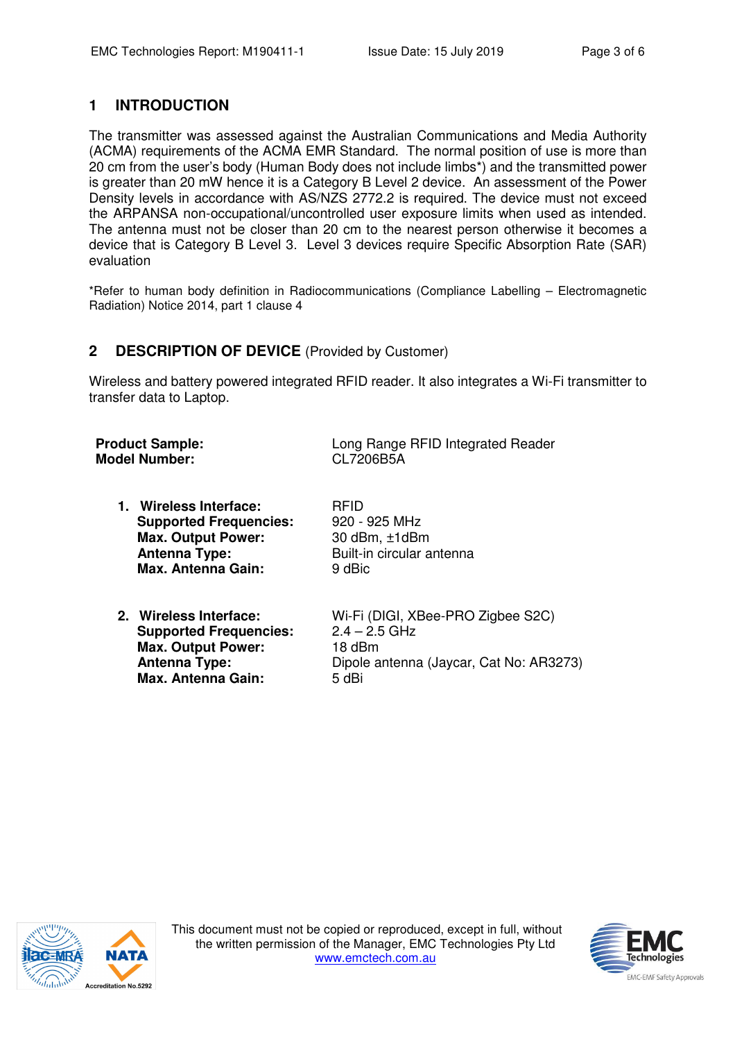#### **1 INTRODUCTION**

The transmitter was assessed against the Australian Communications and Media Authority (ACMA) requirements of the ACMA EMR Standard. The normal position of use is more than 20 cm from the user's body (Human Body does not include limbs\*) and the transmitted power is greater than 20 mW hence it is a Category B Level 2 device. An assessment of the Power Density levels in accordance with AS/NZS 2772.2 is required. The device must not exceed the ARPANSA non-occupational/uncontrolled user exposure limits when used as intended. The antenna must not be closer than 20 cm to the nearest person otherwise it becomes a device that is Category B Level 3. Level 3 devices require Specific Absorption Rate (SAR) evaluation

\*Refer to human body definition in Radiocommunications (Compliance Labelling – Electromagnetic Radiation) Notice 2014, part 1 clause 4

#### **2 DESCRIPTION OF DEVICE** (Provided by Customer)

Wireless and battery powered integrated RFID reader. It also integrates a Wi-Fi transmitter to transfer data to Laptop.

| <b>Product Sample:</b> | Long Range RFID Integrated Reader |
|------------------------|-----------------------------------|
| <b>Model Number:</b>   | CL7206B5A                         |
|                        |                                   |

**1. Wireless Interface:** RFID  **Supported Frequencies:** 920 - 925 MHz **Max. Output Power:** 30 dBm, ±1dBm **Antenna Type:** Built-in circular antenna **Max. Antenna Gain:** 9 dBic

**Supported Frequencies: Max. Output Power:** 18 dBm **Max. Antenna Gain:** 5 dBi

**2. Wireless Interface:** Wi-Fi (DIGI, XBee-PRO Zigbee S2C)  **Antenna Type:** Dipole antenna (Jaycar, Cat No: AR3273)



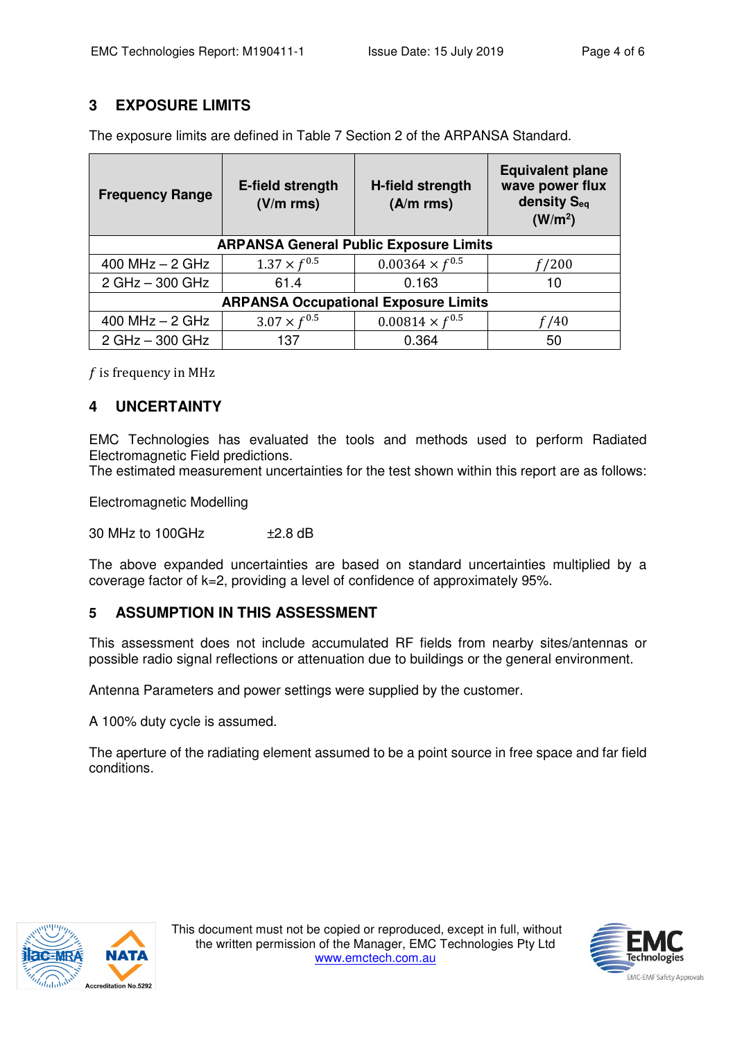#### **3 EXPOSURE LIMITS**

| <b>Frequency Range</b>                        | E-field strength<br>$(V/m$ rms) | H-field strength<br>$(A/m$ rms) | <b>Equivalent plane</b><br>wave power flux<br>density S <sub>eg</sub><br>(W/m <sup>2</sup> ) |  |  |  |  |  |
|-----------------------------------------------|---------------------------------|---------------------------------|----------------------------------------------------------------------------------------------|--|--|--|--|--|
| <b>ARPANSA General Public Exposure Limits</b> |                                 |                                 |                                                                                              |  |  |  |  |  |
| 400 MHz $-$ 2 GHz                             | $1.37 \times f^{0.5}$           | $0.00364 \times f^{0.5}$        | f/200                                                                                        |  |  |  |  |  |
| 2 GHz - 300 GHz                               | 61.4                            | 0.163                           | 10                                                                                           |  |  |  |  |  |
| <b>ARPANSA Occupational Exposure Limits</b>   |                                 |                                 |                                                                                              |  |  |  |  |  |
| 400 MHz $-$ 2 GHz                             | $3.07 \times f^{0.5}$           | $0.00814 \times f^{0.5}$        | f/40                                                                                         |  |  |  |  |  |
| 2 GHz - 300 GHz                               | 137                             | 0.364                           | 50                                                                                           |  |  |  |  |  |

The exposure limits are defined in Table 7 Section 2 of the ARPANSA Standard.

 $f$  is frequency in MHz

#### **4 UNCERTAINTY**

EMC Technologies has evaluated the tools and methods used to perform Radiated Electromagnetic Field predictions.

The estimated measurement uncertainties for the test shown within this report are as follows:

Electromagnetic Modelling

30 MHz to 100GHz ±2.8 dB

The above expanded uncertainties are based on standard uncertainties multiplied by a coverage factor of k=2, providing a level of confidence of approximately 95%.

#### **5 ASSUMPTION IN THIS ASSESSMENT**

This assessment does not include accumulated RF fields from nearby sites/antennas or possible radio signal reflections or attenuation due to buildings or the general environment.

Antenna Parameters and power settings were supplied by the customer.

A 100% duty cycle is assumed.

The aperture of the radiating element assumed to be a point source in free space and far field conditions.



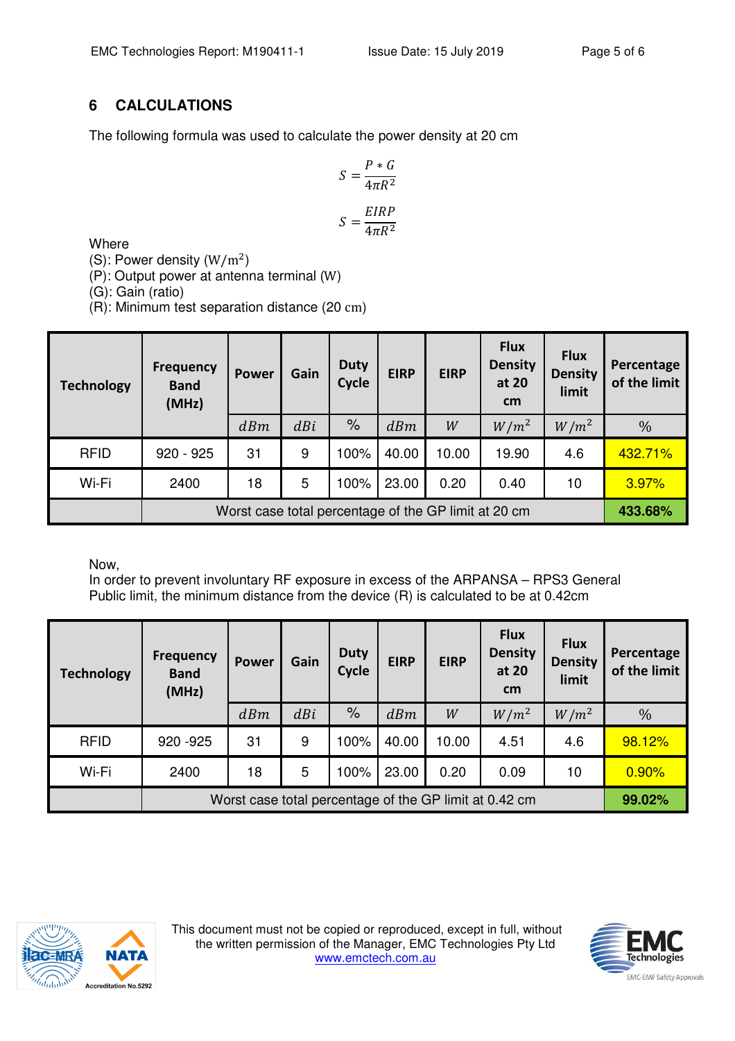### **6 CALCULATIONS**

The following formula was used to calculate the power density at 20 cm

$$
S = \frac{P * G}{4\pi R^2}
$$

$$
S = \frac{EIRP}{4\pi R^2}
$$

**Where** 

(S): Power density  $(W/m^2)$ 

(P): Output power at antenna terminal (W)

(G): Gain (ratio)

(R): Minimum test separation distance (20 cm)

| <b>Technology</b> | <b>Frequency</b><br><b>Band</b><br>(MHz)             | <b>Power</b> | Gain | <b>Duty</b><br>Cycle | <b>EIRP</b> | <b>EIRP</b> | <b>Flux</b><br><b>Density</b><br>at 20<br>cm | <b>Flux</b><br><b>Density</b><br>limit | Percentage<br>of the limit |
|-------------------|------------------------------------------------------|--------------|------|----------------------|-------------|-------------|----------------------------------------------|----------------------------------------|----------------------------|
|                   |                                                      | dBm          | dBi  | $\%$                 | dBm         | W           | $W/m^2$                                      | $W/m^2$                                | $\frac{0}{0}$              |
| <b>RFID</b>       | $920 - 925$                                          | 31           | 9    | 100%                 | 40.00       | 10.00       | 19.90                                        | 4.6                                    | 432.71%                    |
| Wi-Fi             | 2400                                                 | 18           | 5    | 100%                 | 23.00       | 0.20        | 0.40                                         | 10                                     | 3.97%                      |
|                   | Worst case total percentage of the GP limit at 20 cm |              |      |                      |             |             |                                              | 433.68%                                |                            |

Now,

In order to prevent involuntary RF exposure in excess of the ARPANSA – RPS3 General Public limit, the minimum distance from the device (R) is calculated to be at 0.42cm

| <b>Technology</b> | Frequency<br><b>Band</b><br>(MHz)                      | <b>Power</b> | Gain | <b>Duty</b><br><b>Cycle</b> | <b>EIRP</b> | <b>EIRP</b> | <b>Flux</b><br><b>Density</b><br>at 20<br>cm | <b>Flux</b><br><b>Density</b><br>limit | Percentage<br>of the limit |
|-------------------|--------------------------------------------------------|--------------|------|-----------------------------|-------------|-------------|----------------------------------------------|----------------------------------------|----------------------------|
|                   |                                                        | dBm          | dBi  | $\%$                        | dBm         | W           | $W/m^2$                                      | $W/m^2$                                | $\%$                       |
| <b>RFID</b>       | 920 - 925                                              | 31           | 9    | 100%                        | 40.00       | 10.00       | 4.51                                         | 4.6                                    | 98.12%                     |
| Wi-Fi             | 2400                                                   | 18           | 5    | 100%                        | 23.00       | 0.20        | 0.09                                         | 10                                     | 0.90%                      |
|                   | Worst case total percentage of the GP limit at 0.42 cm |              |      |                             |             |             |                                              | 99.02%                                 |                            |